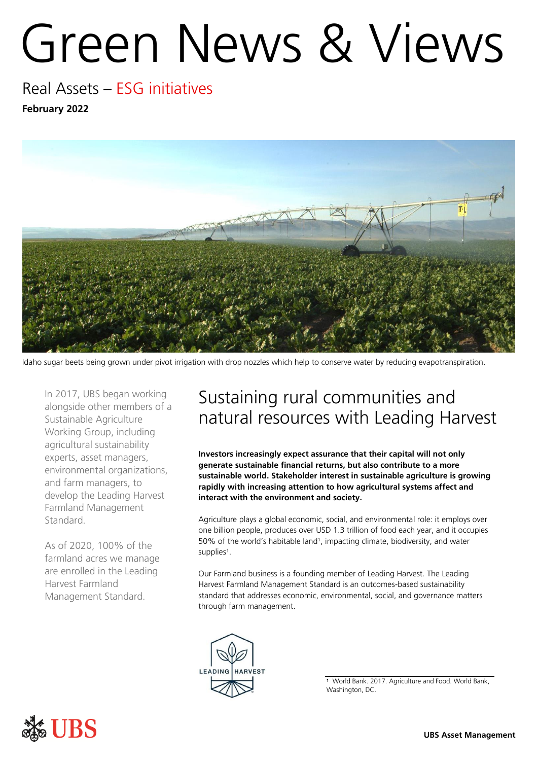# Green News & Views

### Real Assets – ESG initiatives **February 2022**



Idaho sugar beets being grown under pivot irrigation with drop nozzles which help to conserve water by reducing evapotranspiration.

In 2017, UBS began working alongside other members of a Sustainable Agriculture Working Group, including agricultural sustainability experts, asset managers, environmental organizations, and farm managers, to develop the Leading Harvest Farmland Management Standard.

As of 2020, 100% of the farmland acres we manage are enrolled in the Leading Harvest Farmland Management Standard.

## Sustaining rural communities and natural resources with Leading Harvest

**Investors increasingly expect assurance that their capital will not only generate sustainable financial returns, but also contribute to a more sustainable world. Stakeholder interest in sustainable agriculture is growing rapidly with increasing attention to how agricultural systems affect and interact with the environment and society.** 

Agriculture plays a global economic, social, and environmental role: it employs over one billion people, produces over USD 1.3 trillion of food each year, and it occupies 50% of the world's habitable land<sup>1</sup>, impacting climate, biodiversity, and water supplies<sup>1</sup>.

Our Farmland business is a founding member of Leading Harvest. The Leading Harvest Farmland Management Standard is an outcomes-based sustainability standard that addresses economic, environmental, social, and governance matters through farm management.





**<sup>1</sup>** World Bank. 2017. Agriculture and Food. World Bank, Washington, DC.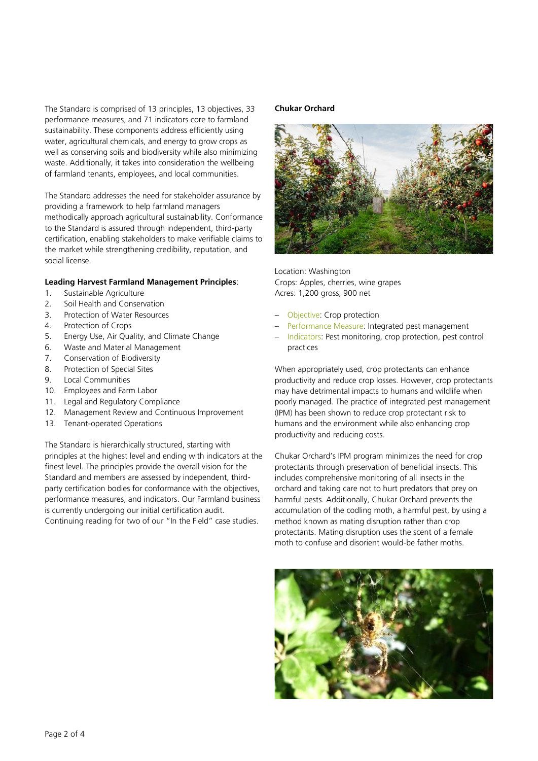The Standard is comprised of 13 principles, 13 objectives, 33 performance measures, and 71 indicators core to farmland sustainability. These components address efficiently using water, agricultural chemicals, and energy to grow crops as well as conserving soils and biodiversity while also minimizing waste. Additionally, it takes into consideration the wellbeing of farmland tenants, employees, and local communities.

The Standard addresses the need for stakeholder assurance by providing a framework to help farmland managers methodically approach agricultural sustainability. Conformance to the Standard is assured through independent, third-party certification, enabling stakeholders to make verifiable claims to the market while strengthening credibility, reputation, and social license.

#### **Leading Harvest Farmland Management Principles**:

- 1. Sustainable Agriculture
- 2. Soil Health and Conservation
- 3. Protection of Water Resources
- 4. Protection of Crops
- 5. Energy Use, Air Quality, and Climate Change
- 6. Waste and Material Management
- 7. Conservation of Biodiversity
- 8. Protection of Special Sites
- 9. Local Communities
- 10. Employees and Farm Labor
- 11. Legal and Regulatory Compliance
- 12. Management Review and Continuous Improvement
- 13. Tenant-operated Operations

The Standard is hierarchically structured, starting with principles at the highest level and ending with indicators at the finest level. The principles provide the overall vision for the Standard and members are assessed by independent, thirdparty certification bodies for conformance with the objectives, performance measures, and indicators. Our Farmland business is currently undergoing our initial certification audit. Continuing reading for two of our "In the Field" case studies.

#### **Chukar Orchard**



Location: Washington Crops: Apples, cherries, wine grapes Acres: 1,200 gross, 900 net

- Objective: Crop protection
- Performance Measure: Integrated pest management
- Indicators: Pest monitoring, crop protection, pest control practices

When appropriately used, crop protectants can enhance productivity and reduce crop losses. However, crop protectants may have detrimental impacts to humans and wildlife when poorly managed. The practice of integrated pest management (IPM) has been shown to reduce crop protectant risk to humans and the environment while also enhancing crop productivity and reducing costs.

Chukar Orchard's IPM program minimizes the need for crop protectants through preservation of beneficial insects. This includes comprehensive monitoring of all insects in the orchard and taking care not to hurt predators that prey on harmful pests. Additionally, Chukar Orchard prevents the accumulation of the codling moth, a harmful pest, by using a method known as mating disruption rather than crop protectants. Mating disruption uses the scent of a female moth to confuse and disorient would-be father moths.

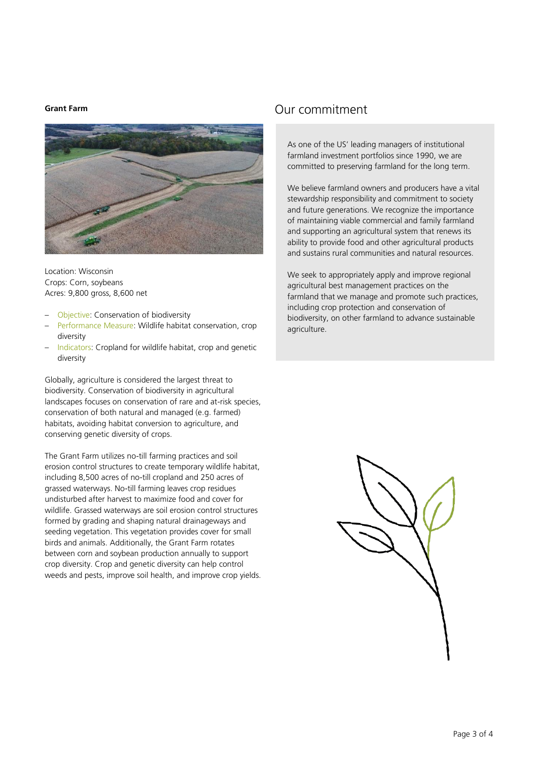#### **Grant Farm**



Location: Wisconsin Crops: Corn, soybeans Acres: 9,800 gross, 8,600 net

- Objective: Conservation of biodiversity
- Performance Measure: Wildlife habitat conservation, crop diversity
- Indicators: Cropland for wildlife habitat, crop and genetic diversity

Globally, agriculture is considered the largest threat to biodiversity. Conservation of biodiversity in agricultural landscapes focuses on conservation of rare and at-risk species, conservation of both natural and managed (e.g. farmed) habitats, avoiding habitat conversion to agriculture, and conserving genetic diversity of crops.

The Grant Farm utilizes no-till farming practices and soil erosion control structures to create temporary wildlife habitat, including 8,500 acres of no-till cropland and 250 acres of grassed waterways. No-till farming leaves crop residues undisturbed after harvest to maximize food and cover for wildlife. Grassed waterways are soil erosion control structures formed by grading and shaping natural drainageways and seeding vegetation. This vegetation provides cover for small birds and animals. Additionally, the Grant Farm rotates between corn and soybean production annually to support crop diversity. Crop and genetic diversity can help control weeds and pests, improve soil health, and improve crop yields.

#### Our commitment

As one of the US' leading managers of institutional farmland investment portfolios since 1990, we are committed to preserving farmland for the long term.

We believe farmland owners and producers have a vital stewardship responsibility and commitment to society and future generations. We recognize the importance of maintaining viable commercial and family farmland and supporting an agricultural system that renews its ability to provide food and other agricultural products and sustains rural communities and natural resources.

We seek to appropriately apply and improve regional agricultural best management practices on the farmland that we manage and promote such practices, including crop protection and conservation of biodiversity, on other farmland to advance sustainable agriculture.